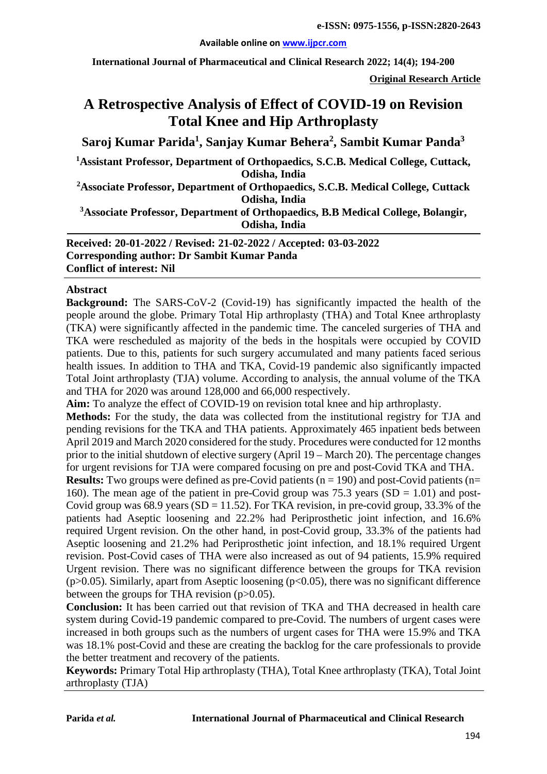#### **Available online on [www.ijpcr.com](http://www.ijpcr.com/)**

**International Journal of Pharmaceutical and Clinical Research 2022; 14(4); 194-200**

**Original Research Article**

# **A Retrospective Analysis of Effect of COVID-19 on Revision Total Knee and Hip Arthroplasty**

**Saroj Kumar Parida1 , Sanjay Kumar Behera2 , Sambit Kumar Panda3**

<sup>1</sup> Assistant Professor, Department of Orthopaedics, S.C.B. Medical College, Cuttack, **Odisha, India**

**2 Associate Professor, Department of Orthopaedics, S.C.B. Medical College, Cuttack Odisha, India**

**3 Associate Professor, Department of Orthopaedics, B.B Medical College, Bolangir, Odisha, India**

**Received: 20-01-2022 / Revised: 21-02-2022 / Accepted: 03-03-2022 Corresponding author: Dr Sambit Kumar Panda Conflict of interest: Nil**

#### **Abstract**

**Background:** The SARS-CoV-2 (Covid-19) has significantly impacted the health of the people around the globe. Primary Total Hip arthroplasty (THA) and Total Knee arthroplasty (TKA) were significantly affected in the pandemic time. The canceled surgeries of THA and TKA were rescheduled as majority of the beds in the hospitals were occupied by COVID patients. Due to this, patients for such surgery accumulated and many patients faced serious health issues. In addition to THA and TKA, Covid-19 pandemic also significantly impacted Total Joint arthroplasty (TJA) volume. According to analysis, the annual volume of the TKA and THA for 2020 was around 128,000 and 66,000 respectively.

**Aim:** To analyze the effect of COVID-19 on revision total knee and hip arthroplasty.

**Methods:** For the study, the data was collected from the institutional registry for TJA and pending revisions for the TKA and THA patients. Approximately 465 inpatient beds between April 2019 and March 2020 considered for the study. Procedures were conducted for 12 months prior to the initial shutdown of elective surgery (April 19 – March 20). The percentage changes for urgent revisions for TJA were compared focusing on pre and post-Covid TKA and THA.

**Results:** Two groups were defined as pre-Covid patients ( $n = 190$ ) and post-Covid patients ( $n =$ 160). The mean age of the patient in pre-Covid group was 75.3 years  $(SD = 1.01)$  and post-Covid group was  $68.9$  years  $(SD = 11.52)$ . For TKA revision, in pre-covid group, 33.3% of the patients had Aseptic loosening and 22.2% had Periprosthetic joint infection, and 16.6% required Urgent revision. On the other hand, in post-Covid group, 33.3% of the patients had Aseptic loosening and 21.2% had Periprosthetic joint infection, and 18.1% required Urgent revision. Post-Covid cases of THA were also increased as out of 94 patients, 15.9% required Urgent revision. There was no significant difference between the groups for TKA revision ( $p > 0.05$ ). Similarly, apart from Aseptic loosening ( $p < 0.05$ ), there was no significant difference between the groups for THA revision (p>0.05).

**Conclusion:** It has been carried out that revision of TKA and THA decreased in health care system during Covid-19 pandemic compared to pre-Covid. The numbers of urgent cases were increased in both groups such as the numbers of urgent cases for THA were 15.9% and TKA was 18.1% post-Covid and these are creating the backlog for the care professionals to provide the better treatment and recovery of the patients.

**Keywords:** Primary Total Hip arthroplasty (THA), Total Knee arthroplasty (TKA), Total Joint arthroplasty (TJA)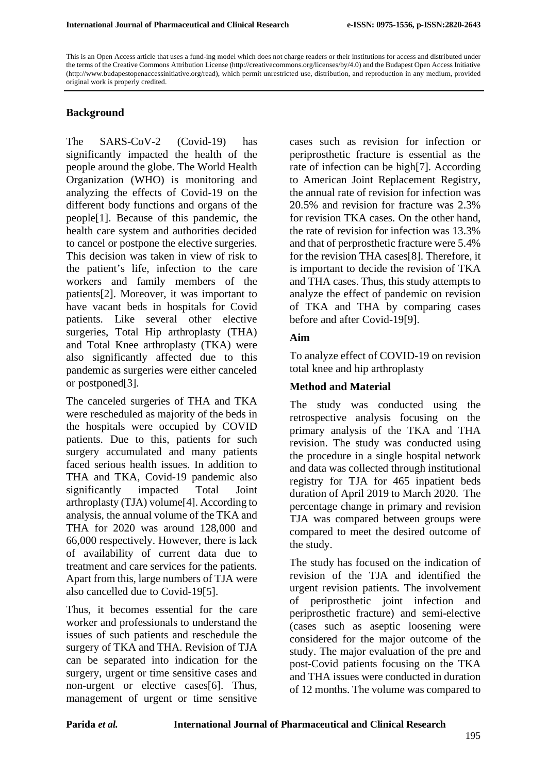This is an Open Access article that uses a fund-ing model which does not charge readers or their institutions for access and distributed under the terms of the Creative Commons Attribution License (http://creativecommons.org/licenses/by/4.0) and the Budapest Open Access Initiative (http://www.budapestopenaccessinitiative.org/read), which permit unrestricted use, distribution, and reproduction in any medium, provided original work is properly credited.

### **Background**

The SARS-CoV-2 (Covid-19) has significantly impacted the health of the people around the globe. The World Health Organization (WHO) is monitoring and analyzing the effects of Covid-19 on the different body functions and organs of the people[1]. Because of this pandemic, the health care system and authorities decided to cancel or postpone the elective surgeries. This decision was taken in view of risk to the patient's life, infection to the care workers and family members of the patients[2]. Moreover, it was important to have vacant beds in hospitals for Covid patients. Like several other elective surgeries, Total Hip arthroplasty (THA) and Total Knee arthroplasty (TKA) were also significantly affected due to this pandemic as surgeries were either canceled or postponed[3].

The canceled surgeries of THA and TKA were rescheduled as majority of the beds in the hospitals were occupied by COVID patients. Due to this, patients for such surgery accumulated and many patients faced serious health issues. In addition to THA and TKA, Covid-19 pandemic also significantly impacted Total Joint arthroplasty (TJA) volume[4]. According to analysis, the annual volume of the TKA and THA for 2020 was around 128,000 and 66,000 respectively. However, there is lack of availability of current data due to treatment and care services for the patients. Apart from this, large numbers of TJA were also cancelled due to Covid-19[5].

Thus, it becomes essential for the care worker and professionals to understand the issues of such patients and reschedule the surgery of TKA and THA. Revision of TJA can be separated into indication for the surgery, urgent or time sensitive cases and non-urgent or elective cases[6]. Thus, management of urgent or time sensitive cases such as revision for infection or periprosthetic fracture is essential as the rate of infection can be high[7]. According to American Joint Replacement Registry, the annual rate of revision for infection was 20.5% and revision for fracture was 2.3% for revision TKA cases. On the other hand, the rate of revision for infection was 13.3% and that of perprosthetic fracture were 5.4% for the revision THA cases[8]. Therefore, it is important to decide the revision of TKA and THA cases. Thus, this study attempts to analyze the effect of pandemic on revision of TKA and THA by comparing cases before and after Covid-19[9].

### **Aim**

To analyze effect of COVID-19 on revision total knee and hip arthroplasty

### **Method and Material**

The study was conducted using the retrospective analysis focusing on the primary analysis of the TKA and THA revision. The study was conducted using the procedure in a single hospital network and data was collected through institutional registry for TJA for 465 inpatient beds duration of April 2019 to March 2020. The percentage change in primary and revision TJA was compared between groups were compared to meet the desired outcome of the study.

The study has focused on the indication of revision of the TJA and identified the urgent revision patients. The involvement of periprosthetic joint infection and periprosthetic fracture) and semi-elective (cases such as aseptic loosening were considered for the major outcome of the study. The major evaluation of the pre and post-Covid patients focusing on the TKA and THA issues were conducted in duration of 12 months. The volume was compared to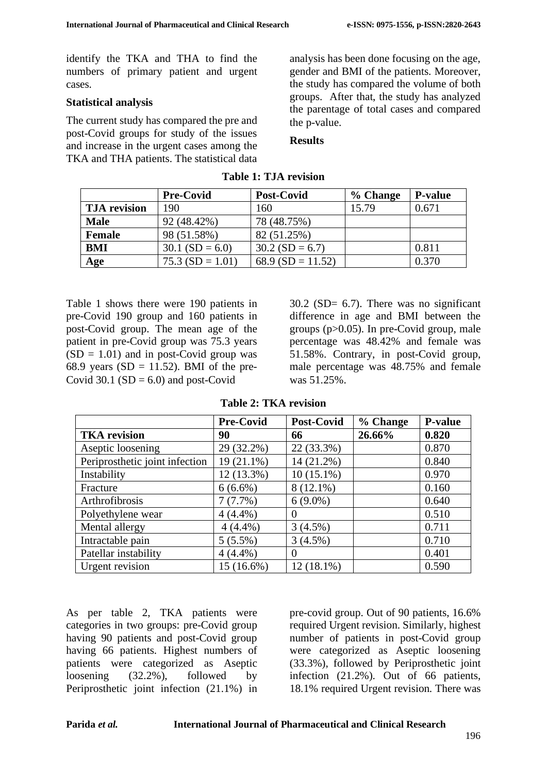identify the TKA and THA to find the numbers of primary patient and urgent cases.

### **Statistical analysis**

The current study has compared the pre and post-Covid groups for study of the issues and increase in the urgent cases among the TKA and THA patients. The statistical data analysis has been done focusing on the age, gender and BMI of the patients. Moreover, the study has compared the volume of both groups. After that, the study has analyzed the parentage of total cases and compared the p-value.

#### **Results**

|                     | <b>Pre-Covid</b>  | <b>Post-Covid</b>    | % Change | <b>P-value</b> |
|---------------------|-------------------|----------------------|----------|----------------|
| <b>TJA</b> revision | 190               | 160                  | 15.79    | 0.671          |
| <b>Male</b>         | 92 (48.42%)       | 78 (48.75%)          |          |                |
| Female              | 98 (51.58%)       | 82 (51.25%)          |          |                |
| <b>BMI</b>          | $30.1$ (SD = 6.0) | $30.2$ (SD = 6.7)    |          | 0.811          |
| Age                 | $75.3(SD = 1.01)$ | 68.9 (SD = $11.52$ ) |          | 0.370          |

#### **Table 1: TJA revision**

Table 1 shows there were 190 patients in pre-Covid 190 group and 160 patients in post-Covid group. The mean age of the patient in pre-Covid group was 75.3 years  $(SD = 1.01)$  and in post-Covid group was 68.9 years ( $SD = 11.52$ ). BMI of the pre-Covid 30.1 ( $SD = 6.0$ ) and post-Covid

 $30.2$  (SD= 6.7). There was no significant difference in age and BMI between the groups (p>0.05). In pre-Covid group, male percentage was 48.42% and female was 51.58%. Contrary, in post-Covid group, male percentage was 48.75% and female was 51.25%.

| <b>Table 2: TKA revision</b> |  |  |
|------------------------------|--|--|
|------------------------------|--|--|

|                                | <b>Pre-Covid</b> | <b>Post-Covid</b> | % Change | <b>P-value</b> |
|--------------------------------|------------------|-------------------|----------|----------------|
| <b>TKA</b> revision            | 90               | 66                | 26.66%   | 0.820          |
| Aseptic loosening              | 29 (32.2%)       | 22 (33.3%)        |          | 0.870          |
| Periprosthetic joint infection | 19 (21.1%)       | 14 (21.2%)        |          | 0.840          |
| Instability                    | 12 (13.3%)       | $10(15.1\%)$      |          | 0.970          |
| Fracture                       | $6(6.6\%)$       | $8(12.1\%)$       |          | 0.160          |
| Arthrofibrosis                 | 7(7.7%)          | $6(9.0\%)$        |          | 0.640          |
| Polyethylene wear              | $4(4.4\%)$       | $\theta$          |          | 0.510          |
| Mental allergy                 | $4(4.4\%)$       | 3(4.5%)           |          | 0.711          |
| Intractable pain               | $5(5.5\%)$       | 3(4.5%)           |          | 0.710          |
| Patellar instability           | $4(4.4\%)$       |                   |          | 0.401          |
| <b>Urgent revision</b>         | 15 (16.6%)       | 12 (18.1%)        |          | 0.590          |

As per table 2, TKA patients were categories in two groups: pre-Covid group having 90 patients and post-Covid group having 66 patients. Highest numbers of patients were categorized as Aseptic loosening (32.2%), followed by Periprosthetic joint infection (21.1%) in pre-covid group. Out of 90 patients, 16.6% required Urgent revision. Similarly, highest number of patients in post-Covid group were categorized as Aseptic loosening (33.3%), followed by Periprosthetic joint infection (21.2%). Out of 66 patients, 18.1% required Urgent revision. There was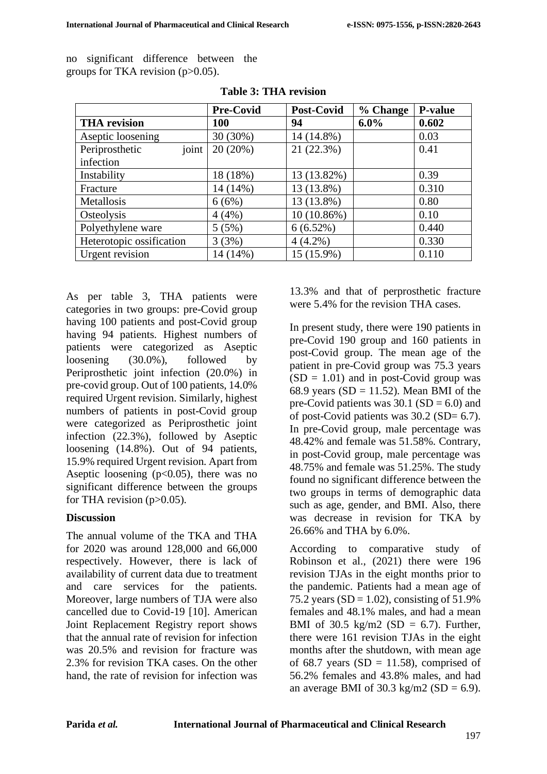no significant difference between the groups for TKA revision  $(p>0.05)$ .

|                          | <b>Pre-Covid</b> | Post-Covid  | % Change | <b>P-value</b> |
|--------------------------|------------------|-------------|----------|----------------|
| <b>THA</b> revision      | <b>100</b>       | 94          | $6.0\%$  | 0.602          |
| Aseptic loosening        | 30 (30%)         | 14 (14.8%)  |          | 0.03           |
| joint<br>Periprosthetic  | 20(20%)          | 21 (22.3%)  |          | 0.41           |
| infection                |                  |             |          |                |
| Instability              | 18 (18%)         | 13 (13.82%) |          | 0.39           |
| Fracture                 | 14 (14%)         | 13 (13.8%)  |          | 0.310          |
| Metallosis               | 6(6%)            | 13 (13.8%)  |          | 0.80           |
| Osteolysis               | 4(4%)            | 10 (10.86%) |          | 0.10           |
| Polyethylene ware        | 5(5%)            | 6(6.52%)    |          | 0.440          |
| Heterotopic ossification | 3(3%)            | $4(4.2\%)$  |          | 0.330          |
| Urgent revision          | 14 (14%)         | 15 (15.9%)  |          | 0.110          |

As per table 3, THA patients were categories in two groups: pre-Covid group having 100 patients and post-Covid group having 94 patients. Highest numbers of patients were categorized as Aseptic loosening (30.0%), followed by Periprosthetic joint infection (20.0%) in pre-covid group. Out of 100 patients, 14.0% required Urgent revision. Similarly, highest numbers of patients in post-Covid group were categorized as Periprosthetic joint infection (22.3%), followed by Aseptic loosening (14.8%). Out of 94 patients, 15.9% required Urgent revision. Apart from Aseptic loosening  $(p<0.05)$ , there was no significant difference between the groups for THA revision  $(p>0.05)$ .

### **Discussion**

The annual volume of the TKA and THA for 2020 was around 128,000 and 66,000 respectively. However, there is lack of availability of current data due to treatment and care services for the patients. Moreover, large numbers of TJA were also cancelled due to Covid-19 [10]. American Joint Replacement Registry report shows that the annual rate of revision for infection was 20.5% and revision for fracture was 2.3% for revision TKA cases. On the other hand, the rate of revision for infection was 13.3% and that of perprosthetic fracture were 5.4% for the revision THA cases.

In present study, there were 190 patients in pre-Covid 190 group and 160 patients in post-Covid group. The mean age of the patient in pre-Covid group was 75.3 years  $(SD = 1.01)$  and in post-Covid group was 68.9 years ( $SD = 11.52$ ). Mean BMI of the pre-Covid patients was  $30.1$  (SD = 6.0) and of post-Covid patients was 30.2 (SD= 6.7). In pre-Covid group, male percentage was 48.42% and female was 51.58%. Contrary, in post-Covid group, male percentage was 48.75% and female was 51.25%. The study found no significant difference between the two groups in terms of demographic data such as age, gender, and BMI. Also, there was decrease in revision for TKA by 26.66% and THA by 6.0%.

According to comparative study of Robinson et al., (2021) there were 196 revision TJAs in the eight months prior to the pandemic. Patients had a mean age of 75.2 years (SD =  $1.02$ ), consisting of  $51.9\%$ females and 48.1% males, and had a mean BMI of 30.5 kg/m2 (SD = 6.7). Further, there were 161 revision TJAs in the eight months after the shutdown, with mean age of 68.7 years (SD = 11.58), comprised of 56.2% females and 43.8% males, and had an average BMI of 30.3 kg/m2 (SD = 6.9).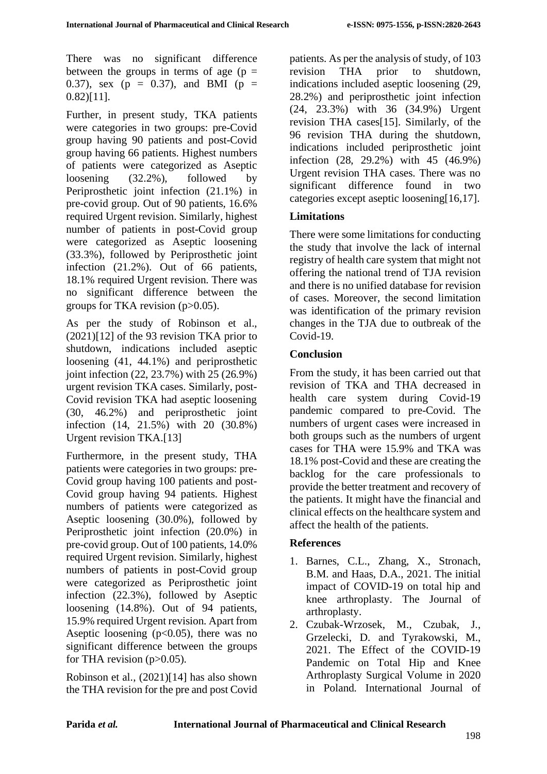There was no significant difference between the groups in terms of age ( $p =$ 0.37), sex ( $p = 0.37$ ), and BMI ( $p =$ 0.82)[11].

Further, in present study, TKA patients were categories in two groups: pre-Covid group having 90 patients and post-Covid group having 66 patients. Highest numbers of patients were categorized as Aseptic loosening (32.2%), followed by Periprosthetic joint infection (21.1%) in pre-covid group. Out of 90 patients, 16.6% required Urgent revision. Similarly, highest number of patients in post-Covid group were categorized as Aseptic loosening (33.3%), followed by Periprosthetic joint infection (21.2%). Out of 66 patients, 18.1% required Urgent revision. There was no significant difference between the groups for TKA revision  $(p>0.05)$ .

As per the study of Robinson et al.,  $(2021)[12]$  of the 93 revision TKA prior to shutdown, indications included aseptic loosening (41, 44.1%) and periprosthetic joint infection (22, 23.7%) with 25 (26.9%) urgent revision TKA cases. Similarly, post-Covid revision TKA had aseptic loosening (30, 46.2%) and periprosthetic joint infection (14, 21.5%) with 20 (30.8%) Urgent revision TKA.[13]

Furthermore, in the present study, THA patients were categories in two groups: pre-Covid group having 100 patients and post-Covid group having 94 patients. Highest numbers of patients were categorized as Aseptic loosening (30.0%), followed by Periprosthetic joint infection (20.0%) in pre-covid group. Out of 100 patients, 14.0% required Urgent revision. Similarly, highest numbers of patients in post-Covid group were categorized as Periprosthetic joint infection (22.3%), followed by Aseptic loosening (14.8%). Out of 94 patients, 15.9% required Urgent revision. Apart from Aseptic loosening  $(p<0.05)$ , there was no significant difference between the groups for THA revision  $(p>0.05)$ .

Robinson et al., (2021)[14] has also shown the THA revision for the pre and post Covid patients. As per the analysis of study, of 103 revision THA prior to shutdown, indications included aseptic loosening (29, 28.2%) and periprosthetic joint infection (24, 23.3%) with 36 (34.9%) Urgent revision THA cases[15]. Similarly, of the 96 revision THA during the shutdown, indications included periprosthetic joint infection (28, 29.2%) with 45 (46.9%) Urgent revision THA cases. There was no significant difference found in two categories except aseptic loosening[16,17].

## **Limitations**

There were some limitations for conducting the study that involve the lack of internal registry of health care system that might not offering the national trend of TJA revision and there is no unified database for revision of cases. Moreover, the second limitation was identification of the primary revision changes in the TJA due to outbreak of the Covid-19.

### **Conclusion**

From the study, it has been carried out that revision of TKA and THA decreased in health care system during Covid-19 pandemic compared to pre-Covid. The numbers of urgent cases were increased in both groups such as the numbers of urgent cases for THA were 15.9% and TKA was 18.1% post-Covid and these are creating the backlog for the care professionals to provide the better treatment and recovery of the patients. It might have the financial and clinical effects on the healthcare system and affect the health of the patients.

### **References**

- 1. Barnes, C.L., Zhang, X., Stronach, B.M. and Haas, D.A., 2021. The initial impact of COVID-19 on total hip and knee arthroplasty. The Journal of arthroplasty.
- 2. Czubak-Wrzosek, M., Czubak, J., Grzelecki, D. and Tyrakowski, M., 2021. The Effect of the COVID-19 Pandemic on Total Hip and Knee Arthroplasty Surgical Volume in 2020 in Poland. International Journal of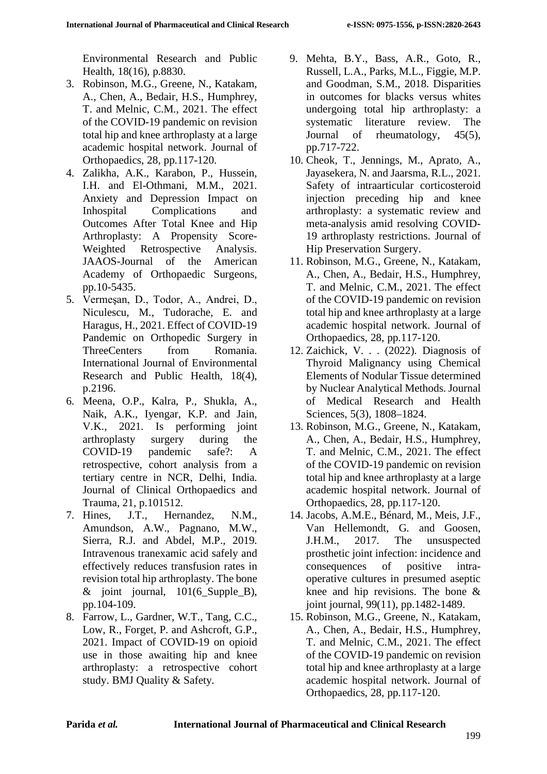Environmental Research and Public Health, 18(16), p.8830.

- 3. Robinson, M.G., Greene, N., Katakam, A., Chen, A., Bedair, H.S., Humphrey, T. and Melnic, C.M., 2021. The effect of the COVID-19 pandemic on revision total hip and knee arthroplasty at a large academic hospital network. Journal of Orthopaedics, 28, pp.117-120.
- 4. Zalikha, A.K., Karabon, P., Hussein, I.H. and El-Othmani, M.M., 2021. Anxiety and Depression Impact on Inhospital Complications and Outcomes After Total Knee and Hip Arthroplasty: A Propensity Score-Weighted Retrospective Analysis. JAAOS-Journal of the American Academy of Orthopaedic Surgeons, pp.10-5435.
- 5. Vermeşan, D., Todor, A., Andrei, D., Niculescu, M., Tudorache, E. and Haragus, H., 2021. Effect of COVID-19 Pandemic on Orthopedic Surgery in ThreeCenters from Romania. International Journal of Environmental Research and Public Health, 18(4), p.2196.
- 6. Meena, O.P., Kalra, P., Shukla, A., Naik, A.K., Iyengar, K.P. and Jain, V.K., 2021. Is performing joint arthroplasty surgery during the COVID-19 pandemic safe?: A retrospective, cohort analysis from a tertiary centre in NCR, Delhi, India. Journal of Clinical Orthopaedics and Trauma, 21, p.101512.
- 7. Hines, J.T., Hernandez, N.M., Amundson, A.W., Pagnano, M.W., Sierra, R.J. and Abdel, M.P., 2019. Intravenous tranexamic acid safely and effectively reduces transfusion rates in revision total hip arthroplasty. The bone  $\&$  joint journal, 101(6 Supple B), pp.104-109.
- 8. Farrow, L., Gardner, W.T., Tang, C.C., Low, R., Forget, P. and Ashcroft, G.P., 2021. Impact of COVID-19 on opioid use in those awaiting hip and knee arthroplasty: a retrospective cohort study. BMJ Quality & Safety.
- 9. Mehta, B.Y., Bass, A.R., Goto, R., Russell, L.A., Parks, M.L., Figgie, M.P. and Goodman, S.M., 2018. Disparities in outcomes for blacks versus whites undergoing total hip arthroplasty: a systematic literature review. The Journal of rheumatology, 45(5), pp.717-722.
- 10. Cheok, T., Jennings, M., Aprato, A., Jayasekera, N. and Jaarsma, R.L., 2021. Safety of intraarticular corticosteroid injection preceding hip and knee arthroplasty: a systematic review and meta-analysis amid resolving COVID-19 arthroplasty restrictions. Journal of Hip Preservation Surgery.
- 11. Robinson, M.G., Greene, N., Katakam, A., Chen, A., Bedair, H.S., Humphrey, T. and Melnic, C.M., 2021. The effect of the COVID-19 pandemic on revision total hip and knee arthroplasty at a large academic hospital network. Journal of Orthopaedics, 28, pp.117-120.
- 12. Zaichick, V. . . (2022). Diagnosis of Thyroid Malignancy using Chemical Elements of Nodular Tissue determined by Nuclear Analytical Methods. Journal of Medical Research and Health Sciences, 5(3), 1808–1824.
- 13. Robinson, M.G., Greene, N., Katakam, A., Chen, A., Bedair, H.S., Humphrey, T. and Melnic, C.M., 2021. The effect of the COVID-19 pandemic on revision total hip and knee arthroplasty at a large academic hospital network. Journal of Orthopaedics, 28, pp.117-120.
- 14. Jacobs, A.M.E., Bénard, M., Meis, J.F., Van Hellemondt, G. and Goosen, J.H.M., 2017. The unsuspected prosthetic joint infection: incidence and consequences of positive intraoperative cultures in presumed aseptic knee and hip revisions. The bone & joint journal, 99(11), pp.1482-1489.
- 15. Robinson, M.G., Greene, N., Katakam, A., Chen, A., Bedair, H.S., Humphrey, T. and Melnic, C.M., 2021. The effect of the COVID-19 pandemic on revision total hip and knee arthroplasty at a large academic hospital network. Journal of Orthopaedics, 28, pp.117-120.